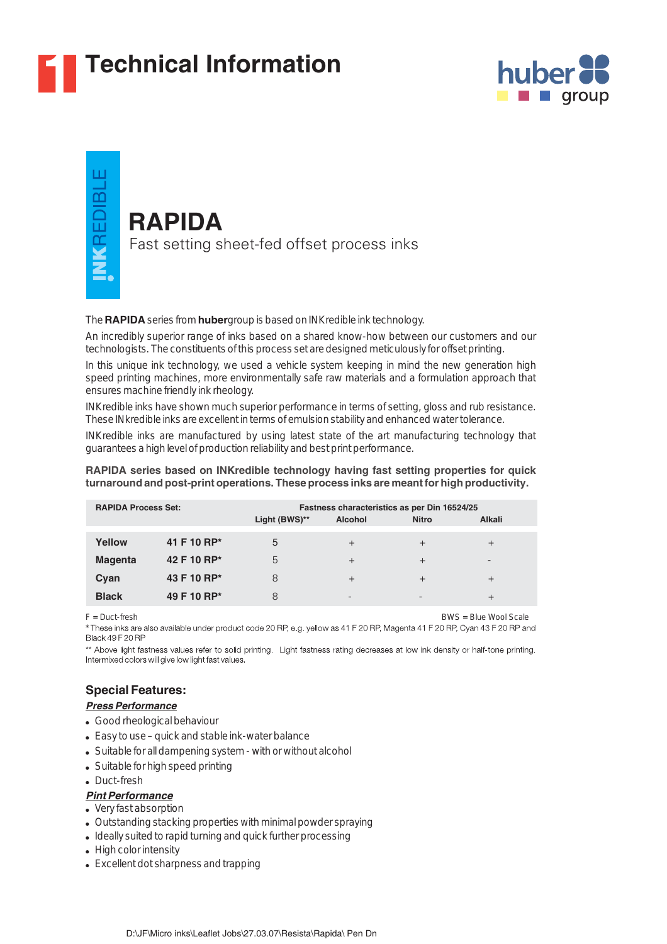

# **1 Technical Information**





#### The **RAPIDA** series from **huber** group is based on INKredible ink technology.

An incredibly superior range of inks based on a shared know-how between our customers and our technologists. The constituents of this process set are designed meticulously for offset printing.

In this unique ink technology, we used a vehicle system keeping in mind the new generation high speed printing machines, more environmentally safe raw materials and a formulation approach that ensures machine friendly ink rheology.

INKredible inks have shown much superior performance in terms of setting, gloss and rub resistance. These INkredible inks are excellent in terms of emulsion stability and enhanced water tolerance.

INKredible inks are manufactured by using latest state of the art manufacturing technology that guarantees a high level of production reliability and best print performance.

#### **RAPIDA series based on INKredible technology having fast setting properties for quick turnaround and post-print operations. These process inks are meant for high productivity.**

| <b>RAPIDA Process Set:</b> |             | Light (BWS)** | <b>Alcohol</b>           | Fastness characteristics as per Din 16524/25<br><b>Nitro</b> | <b>Alkali</b>   |
|----------------------------|-------------|---------------|--------------------------|--------------------------------------------------------------|-----------------|
| Yellow                     | 41 F 10 RP* | 5             | $^{+}$                   | $^{+}$                                                       | $^{+}$          |
| <b>Magenta</b>             | 42 F 10 RP* | 5             | $^{+}$                   | $^{+}$                                                       | $\qquad \qquad$ |
| Cyan                       | 43 F 10 RP* | 8             | $^{+}$                   | $^{+}$                                                       | $^{+}$          |
| <b>Black</b>               | 49 F 10 RP* | 8             | $\overline{\phantom{0}}$ | $\overline{\phantom{0}}$                                     | $^{+}$          |

F = Duct-fresh BWS = Blue Wool Scale

These inks are also available under product code 20 RP, e.g. yellow as 41 F 20 RP, Magenta 41 F 20 RP, Cyan 43 F 20 RP and Black 49 F 20 RP

\*\* Above light fastness values refer to solid printing. Light fastness rating decreases at low ink density or half-tone printing. Intermixed colors will give low light fast values.

# **Special Features:**

#### *Press Performance*

- Good rheological behaviour
- Easy to use quick and stable ink-water balance
- Suitable for all dampening system with or without alcohol
- Suitable for high speed printing
- Duct-fresh

#### *Pint Performance*

- Very fast absorption
- Outstanding stacking properties with minimal powder spraying
- Ideally suited to rapid turning and quick further processing
- High color intensity
- Excellent dot sharpness and trapping